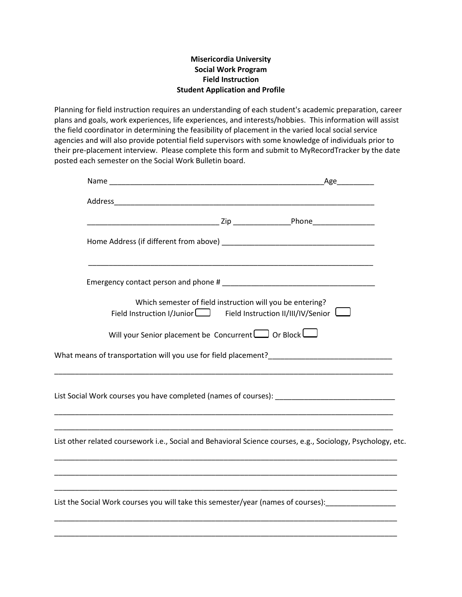## **Misericordia University Social Work Program Field Instruction Student Application and Profile**

Planning for field instruction requires an understanding of each student's academic preparation, career plans and goals, work experiences, life experiences, and interests/hobbies. This information will assist the field coordinator in determining the feasibility of placement in the varied local social service agencies and will also provide potential field supervisors with some knowledge of individuals prior to their pre-placement interview. Please complete this form and submit to MyRecordTracker by the date posted each semester on the Social Work Bulletin board.

|                                                                                                              |                                                                                                                                          |  | Age |
|--------------------------------------------------------------------------------------------------------------|------------------------------------------------------------------------------------------------------------------------------------------|--|-----|
|                                                                                                              |                                                                                                                                          |  |     |
|                                                                                                              |                                                                                                                                          |  |     |
|                                                                                                              |                                                                                                                                          |  |     |
|                                                                                                              |                                                                                                                                          |  |     |
|                                                                                                              | Which semester of field instruction will you be entering?<br>Field Instruction I/Junior $\Box$ Field Instruction II/III/IV/Senior $\Box$ |  |     |
|                                                                                                              | Will your Senior placement be Concurrent $\Box$ Or Block $\Box$                                                                          |  |     |
|                                                                                                              |                                                                                                                                          |  |     |
| List Social Work courses you have completed (names of courses): ___________________________________          |                                                                                                                                          |  |     |
| List other related coursework i.e., Social and Behavioral Science courses, e.g., Sociology, Psychology, etc. |                                                                                                                                          |  |     |
| List the Social Work courses you will take this semester/year (names of courses): _________________          |                                                                                                                                          |  |     |
|                                                                                                              |                                                                                                                                          |  |     |

\_\_\_\_\_\_\_\_\_\_\_\_\_\_\_\_\_\_\_\_\_\_\_\_\_\_\_\_\_\_\_\_\_\_\_\_\_\_\_\_\_\_\_\_\_\_\_\_\_\_\_\_\_\_\_\_\_\_\_\_\_\_\_\_\_\_\_\_\_\_\_\_\_\_\_\_\_\_\_\_\_\_\_